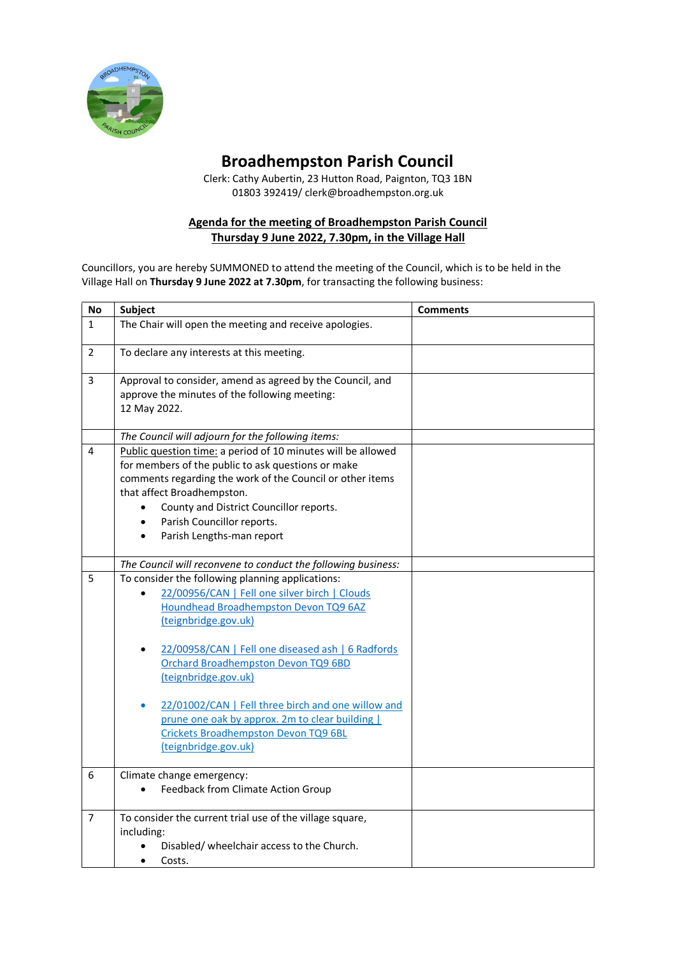

## **Broadhempston Parish Council**

Clerk: Cathy Aubertin, 23 Hutton Road, Paignton, TQ3 1BN 01803 392419/ clerk@broadhempston.org.uk

## **Agenda for the meeting of Broadhempston Parish Council Thursday 9 June 2022, 7.30pm, in the Village Hall**

Councillors, you are hereby SUMMONED to attend the meeting of the Council, which is to be held in the Village Hall on **Thursday 9 June 2022 at 7.30pm**, for transacting the following business:

| <b>No</b>      | Subject                                                                                                                                                                                                                                                                                                             | <b>Comments</b> |
|----------------|---------------------------------------------------------------------------------------------------------------------------------------------------------------------------------------------------------------------------------------------------------------------------------------------------------------------|-----------------|
| $\mathbf{1}$   | The Chair will open the meeting and receive apologies.                                                                                                                                                                                                                                                              |                 |
| $\overline{2}$ | To declare any interests at this meeting.                                                                                                                                                                                                                                                                           |                 |
| 3              | Approval to consider, amend as agreed by the Council, and<br>approve the minutes of the following meeting:<br>12 May 2022.                                                                                                                                                                                          |                 |
|                | The Council will adjourn for the following items:                                                                                                                                                                                                                                                                   |                 |
| 4              | Public question time: a period of 10 minutes will be allowed<br>for members of the public to ask questions or make<br>comments regarding the work of the Council or other items<br>that affect Broadhempston.<br>County and District Councillor reports.<br>Parish Councillor reports.<br>Parish Lengths-man report |                 |
|                |                                                                                                                                                                                                                                                                                                                     |                 |
| 5              | The Council will reconvene to conduct the following business:                                                                                                                                                                                                                                                       |                 |
|                | To consider the following planning applications:<br>22/00956/CAN   Fell one silver birch   Clouds<br>$\bullet$<br>Houndhead Broadhempston Devon TQ9 6AZ<br>(teignbridge.gov.uk)                                                                                                                                     |                 |
|                | 22/00958/CAN   Fell one diseased ash   6 Radfords<br>$\bullet$<br>Orchard Broadhempston Devon TQ9 6BD<br>(teignbridge.gov.uk)                                                                                                                                                                                       |                 |
|                | 22/01002/CAN   Fell three birch and one willow and<br>prune one oak by approx. 2m to clear building  <br>Crickets Broadhempston Devon TQ9 6BL<br>(teignbridge.gov.uk)                                                                                                                                               |                 |
| 6              | Climate change emergency:                                                                                                                                                                                                                                                                                           |                 |
|                | Feedback from Climate Action Group<br>$\bullet$                                                                                                                                                                                                                                                                     |                 |
| 7              | To consider the current trial use of the village square,                                                                                                                                                                                                                                                            |                 |
|                | including:                                                                                                                                                                                                                                                                                                          |                 |
|                | Disabled/wheelchair access to the Church.<br>Costs.<br>$\bullet$                                                                                                                                                                                                                                                    |                 |